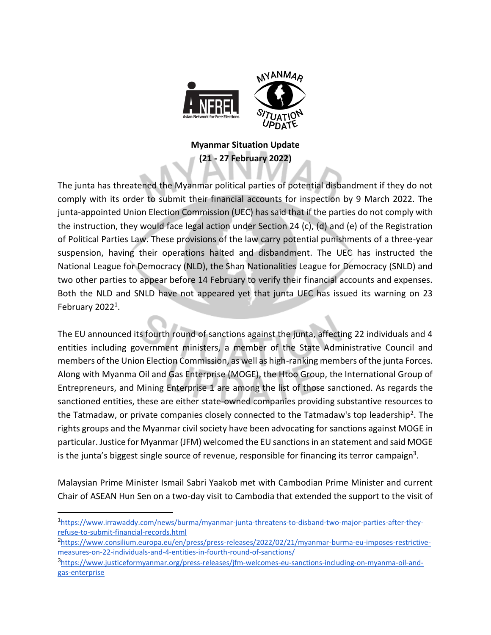

## **Myanmar Situation Update (21 - 27 February 2022)**

The junta has threatened the Myanmar political parties of potential disbandment if they do not comply with its order to submit their financial accounts for inspection by 9 March 2022. The junta-appointed Union Election Commission (UEC) has said that if the parties do not comply with the instruction, they would face legal action under Section 24 (c), (d) and (e) of the Registration of Political Parties Law. These provisions of the law carry potential punishments of a three-year suspension, having their operations halted and disbandment. The UEC has instructed the National League for Democracy (NLD), the Shan Nationalities League for Democracy (SNLD) and two other parties to appear before 14 February to verify their financial accounts and expenses. Both the NLD and SNLD have not appeared yet that junta UEC has issued its warning on 23 February 2022<sup>1</sup>.

The EU announced its fourth round of sanctions against the junta, affecting 22 individuals and 4 entities including government ministers, a member of the State Administrative Council and members of the Union Election Commission, as well as high-ranking members of the junta Forces. Along with Myanma Oil and Gas Enterprise (MOGE), the Htoo Group, the International Group of Entrepreneurs, and Mining Enterprise 1 are among the list of those sanctioned. As regards the sanctioned entities, these are either state-owned companies providing substantive resources to the Tatmadaw, or private companies closely connected to the Tatmadaw's top leadership<sup>2</sup>. The rights groups and the Myanmar civil society have been advocating for sanctions against MOGE in particular. Justice for Myanmar (JFM) welcomed the EU sanctions in an statement and said MOGE is the junta's biggest single source of revenue, responsible for financing its terror campaign<sup>3</sup>.

Malaysian Prime Minister Ismail Sabri Yaakob met with Cambodian Prime Minister and current Chair of ASEAN Hun Sen on a two-day visit to Cambodia that extended the support to the visit of

<sup>1</sup> [https://www.irrawaddy.com/news/burma/myanmar-junta-threatens-to-disband-two-major-parties-after-they](https://www.irrawaddy.com/news/burma/myanmar-junta-threatens-to-disband-two-major-parties-after-they-refuse-to-submit-financial-records.html)[refuse-to-submit-financial-records.html](https://www.irrawaddy.com/news/burma/myanmar-junta-threatens-to-disband-two-major-parties-after-they-refuse-to-submit-financial-records.html)

<sup>2</sup> [https://www.consilium.europa.eu/en/press/press-releases/2022/02/21/myanmar-burma-eu-imposes-restrictive](https://www.consilium.europa.eu/en/press/press-releases/2022/02/21/myanmar-burma-eu-imposes-restrictive-measures-on-22-individuals-and-4-entities-in-fourth-round-of-sanctions/)[measures-on-22-individuals-and-4-entities-in-fourth-round-of-sanctions/](https://www.consilium.europa.eu/en/press/press-releases/2022/02/21/myanmar-burma-eu-imposes-restrictive-measures-on-22-individuals-and-4-entities-in-fourth-round-of-sanctions/)

<sup>3&</sup>lt;br>[https://www.justiceformyanmar.org/press-releases/jfm-welcomes-eu-sanctions-including-on-myanma-oil-and](https://www.justiceformyanmar.org/press-releases/jfm-welcomes-eu-sanctions-including-on-myanma-oil-and-gas-enterprise)[gas-enterprise](https://www.justiceformyanmar.org/press-releases/jfm-welcomes-eu-sanctions-including-on-myanma-oil-and-gas-enterprise)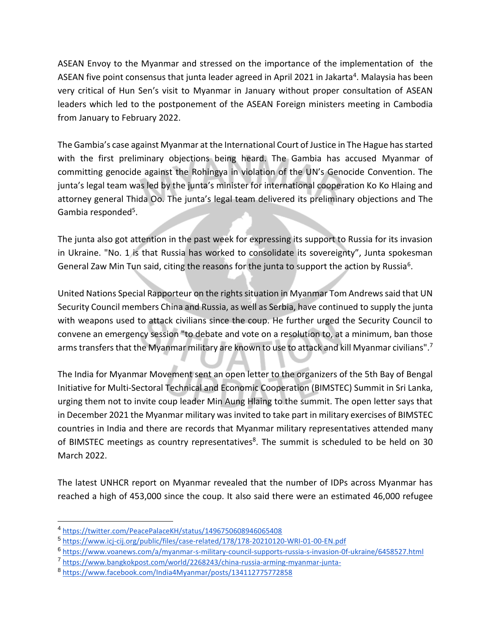ASEAN Envoy to the Myanmar and stressed on the importance of the implementation of the ASEAN five point consensus that junta leader agreed in April 2021 in Jakarta<sup>4</sup>. Malaysia has been very critical of Hun Sen's visit to Myanmar in January without proper consultation of ASEAN leaders which led to the postponement of the ASEAN Foreign ministers meeting in Cambodia from January to February 2022.

The Gambia's case against Myanmar at the International Court of Justice in The Hague has started with the first preliminary objections being heard. The Gambia has accused Myanmar of committing genocide against the Rohingya in violation of the UN's Genocide Convention. The junta's legal team was led by the junta's minister for international cooperation Ko Ko Hlaing and attorney general Thida Oo. The junta's legal team delivered its preliminary objections and The Gambia responded<sup>5</sup>.

The junta also got attention in the past week for expressing its support to Russia for its invasion in Ukraine. "No. 1 is that Russia has worked to consolidate its sovereignty", Junta spokesman General Zaw Min Tun said, citing the reasons for the junta to support the action by Russia<sup>6</sup>.

United Nations Special Rapporteur on the rights situation in Myanmar Tom Andrews said that UN Security Council members China and Russia, as well as Serbia, have continued to supply the junta with weapons used to attack civilians since the coup. He further urged the Security Council to convene an emergency session "to debate and vote on a resolution to, at a minimum, ban those arms transfers that the Myanmar military are known to use to attack and kill Myanmar civilians".<sup>7</sup>

The India for Myanmar Movement sent an open letter to the organizers of the 5th Bay of Bengal Initiative for Multi-Sectoral Technical and Economic Cooperation (BIMSTEC) Summit in Sri Lanka, urging them not to invite coup leader Min Aung Hlaing to the summit. The open letter says that in December 2021 the Myanmar military was invited to take part in military exercises of BIMSTEC countries in India and there are records that Myanmar military representatives attended many of BIMSTEC meetings as country representatives<sup>8</sup>. The summit is scheduled to be held on 30 March 2022.

The latest UNHCR report on Myanmar revealed that the number of IDPs across Myanmar has reached a high of 453,000 since the coup. It also said there were an estimated 46,000 refugee

<sup>4</sup> <https://twitter.com/PeacePalaceKH/status/1496750608946065408>

<sup>5</sup> <https://www.icj-cij.org/public/files/case-related/178/178-20210120-WRI-01-00-EN.pdf>

<sup>6</sup> <https://www.voanews.com/a/myanmar-s-military-council-supports-russia-s-invasion-0f-ukraine/6458527.html>

<sup>7</sup> <https://www.bangkokpost.com/world/2268243/china-russia-arming-myanmar-junta->

<sup>8</sup> <https://www.facebook.com/India4Myanmar/posts/134112775772858>